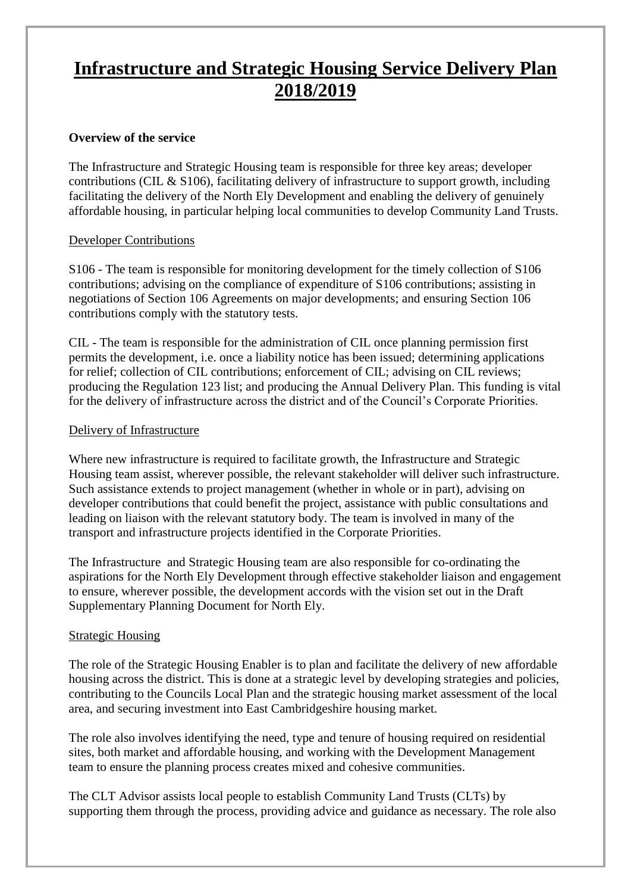### **Infrastructure and Strategic Housing Service Delivery Plan 2018/2019**

#### **Overview of the service**

The Infrastructure and Strategic Housing team is responsible for three key areas; developer contributions (CIL & S106), facilitating delivery of infrastructure to support growth, including facilitating the delivery of the North Ely Development and enabling the delivery of genuinely affordable housing, in particular helping local communities to develop Community Land Trusts.

#### Developer Contributions

S106 - The team is responsible for monitoring development for the timely collection of S106 contributions; advising on the compliance of expenditure of S106 contributions; assisting in negotiations of Section 106 Agreements on major developments; and ensuring Section 106 contributions comply with the statutory tests.

CIL - The team is responsible for the administration of CIL once planning permission first permits the development, i.e. once a liability notice has been issued; determining applications for relief; collection of CIL contributions; enforcement of CIL; advising on CIL reviews; producing the Regulation 123 list; and producing the Annual Delivery Plan. This funding is vital for the delivery of infrastructure across the district and of the Council's Corporate Priorities.

#### Delivery of Infrastructure

Where new infrastructure is required to facilitate growth, the Infrastructure and Strategic Housing team assist, wherever possible, the relevant stakeholder will deliver such infrastructure. Such assistance extends to project management (whether in whole or in part), advising on developer contributions that could benefit the project, assistance with public consultations and leading on liaison with the relevant statutory body. The team is involved in many of the transport and infrastructure projects identified in the Corporate Priorities.

The Infrastructure and Strategic Housing team are also responsible for co-ordinating the aspirations for the North Ely Development through effective stakeholder liaison and engagement to ensure, wherever possible, the development accords with the vision set out in the Draft Supplementary Planning Document for North Ely.

#### Strategic Housing

The role of the Strategic Housing Enabler is to plan and facilitate the delivery of new affordable housing across the district. This is done at a strategic level by developing strategies and policies, contributing to the Councils Local Plan and the strategic housing market assessment of the local area, and securing investment into East Cambridgeshire housing market.

The role also involves identifying the need, type and tenure of housing required on residential sites, both market and affordable housing, and working with the Development Management team to ensure the planning process creates mixed and cohesive communities.

The CLT Advisor assists local people to establish Community Land Trusts (CLTs) by supporting them through the process, providing advice and guidance as necessary. The role also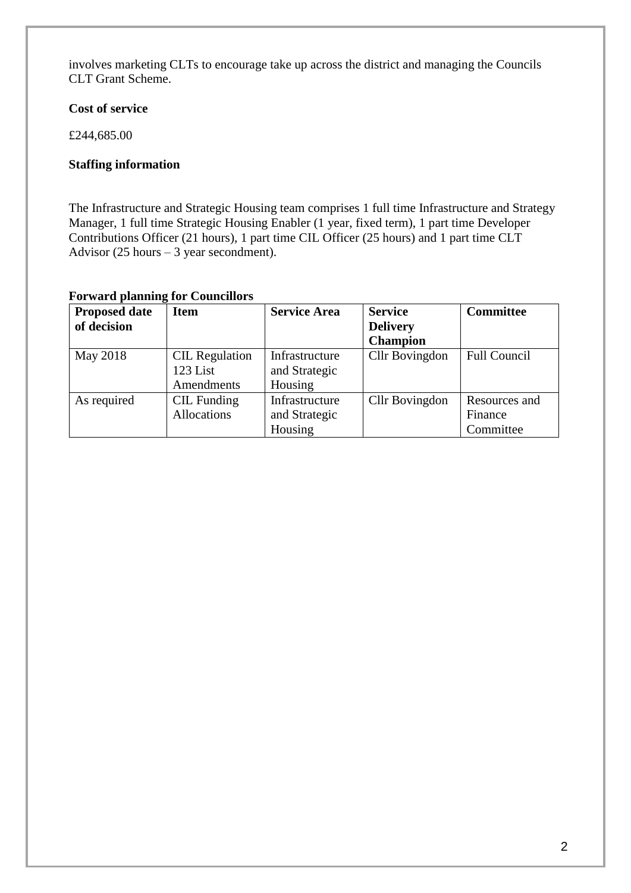involves marketing CLTs to encourage take up across the district and managing the Councils CLT Grant Scheme.

#### **Cost of service**

£244,685.00

#### **Staffing information**

The Infrastructure and Strategic Housing team comprises 1 full time Infrastructure and Strategy Manager, 1 full time Strategic Housing Enabler (1 year, fixed term), 1 part time Developer Contributions Officer (21 hours), 1 part time CIL Officer (25 hours) and 1 part time CLT Advisor  $(25 \text{ hours} - 3 \text{ year second})$ .

#### **Forward planning for Councillors**

| <b>Proposed date</b> | <b>Item</b>           | <b>Service Area</b> | <b>Service</b>  | <b>Committee</b>    |
|----------------------|-----------------------|---------------------|-----------------|---------------------|
| of decision          |                       |                     | <b>Delivery</b> |                     |
|                      |                       |                     | <b>Champion</b> |                     |
| May 2018             | <b>CIL</b> Regulation | Infrastructure      | Cllr Bovingdon  | <b>Full Council</b> |
|                      | 123 List              | and Strategic       |                 |                     |
|                      | Amendments            | Housing             |                 |                     |
| As required          | CIL Funding           | Infrastructure      | Cllr Bovingdon  | Resources and       |
|                      | Allocations           | and Strategic       |                 | Finance             |
|                      |                       | Housing             |                 | Committee           |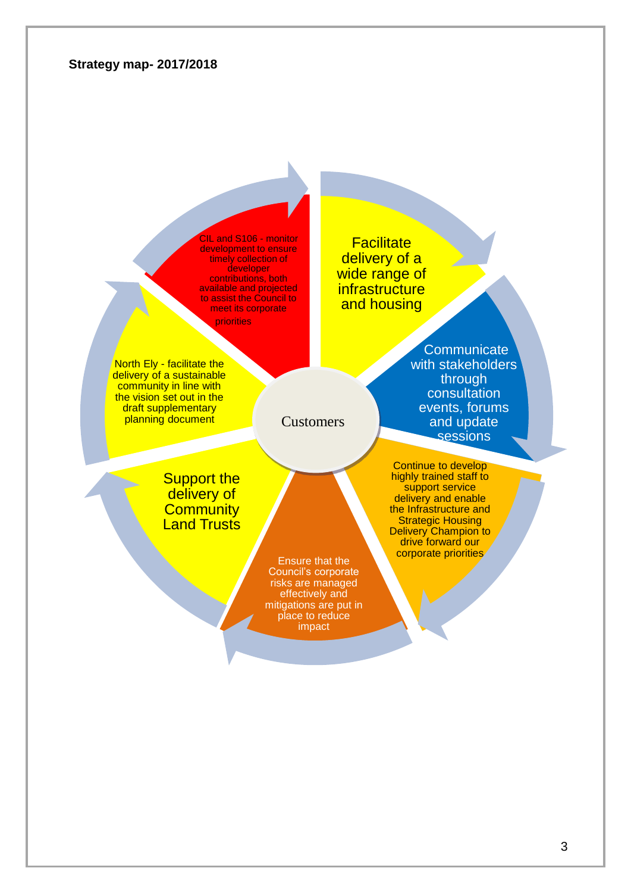#### **Strategy map- 2017/2018**

CIL and S106 - monitor development to ensure timely collection of developer contributions, both available and projected to assist the Council to meet its corporate

priorities

North Ely - facilitate the delivery of a sustainable community in line with the vision set out in the draft supplementary planning document

**Facilitate** delivery of a wide range of **infrastructure** and housing

> **Communicate** with stakeholders through consultation events, forums and update sessions

**Support the** delivery of **Community Land Trusts** 

> Ensure that the Council's corporate risks are managed effectively and mitigations are put in place to reduce impact

**Customers** 

Continue to develop highly trained staff to support service delivery and enable the Infrastructure and Strategic Housing Delivery Champion to drive forward our corporate priorities

3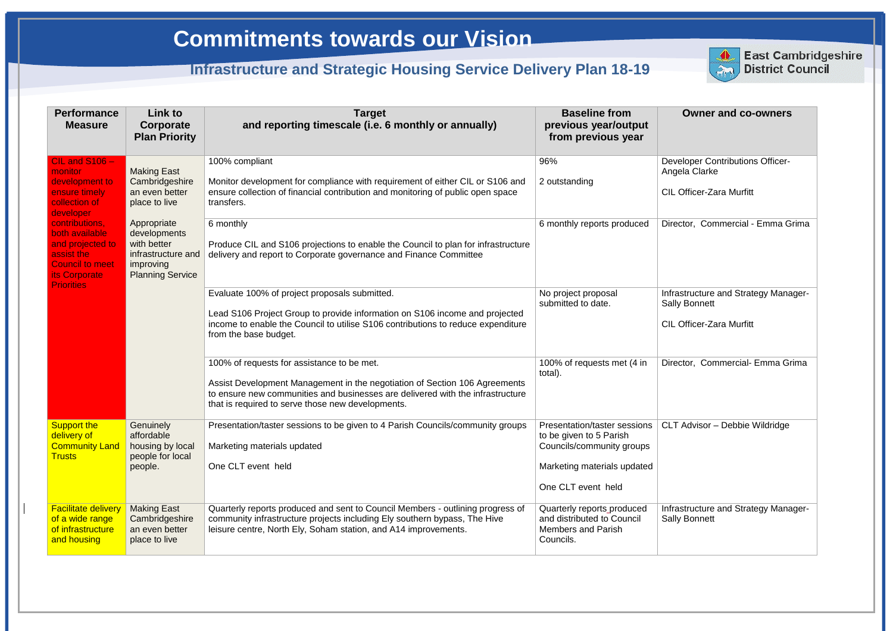| <b>Performance</b><br><b>Measure</b>                                                                                               | <b>Link to</b><br>Corporate<br><b>Plan Priority</b>                                                      | <b>Target</b><br>and reporting timescale (i.e. 6 monthly or annually)                                                                                                                                                                                           | <b>Baseline from</b><br>previous year/output<br>from previous year                                                                        | <b>Owner and co-owners</b>                                                                      |
|------------------------------------------------------------------------------------------------------------------------------------|----------------------------------------------------------------------------------------------------------|-----------------------------------------------------------------------------------------------------------------------------------------------------------------------------------------------------------------------------------------------------------------|-------------------------------------------------------------------------------------------------------------------------------------------|-------------------------------------------------------------------------------------------------|
| CIL and $S106 -$<br>monitor<br>development to<br>ensure timely<br>collection of<br>developer                                       | <b>Making East</b><br>Cambridgeshire<br>an even better<br>place to live                                  | 100% compliant<br>Monitor development for compliance with requirement of either CIL or S106 and<br>ensure collection of financial contribution and monitoring of public open space<br>transfers.                                                                | 96%<br>2 outstanding                                                                                                                      | <b>Developer Contributions Officer-</b><br>Angela Clarke<br><b>CIL Officer-Zara Murfitt</b>     |
| contributions,<br>both available<br>and projected to<br>assist the<br><b>Council to meet</b><br>its Corporate<br><b>Priorities</b> | Appropriate<br>developments<br>with better<br>infrastructure and<br>improving<br><b>Planning Service</b> | 6 monthly<br>Produce CIL and S106 projections to enable the Council to plan for infrastructure<br>delivery and report to Corporate governance and Finance Committee                                                                                             | 6 monthly reports produced                                                                                                                | Director, Commercial - Emma Grima                                                               |
|                                                                                                                                    |                                                                                                          | Evaluate 100% of project proposals submitted.<br>Lead S106 Project Group to provide information on S106 income and projected<br>income to enable the Council to utilise S106 contributions to reduce expenditure<br>from the base budget.                       | No project proposal<br>submitted to date.                                                                                                 | Infrastructure and Strategy Manager-<br><b>Sally Bonnett</b><br><b>CIL Officer-Zara Murfitt</b> |
|                                                                                                                                    |                                                                                                          | 100% of requests for assistance to be met.<br>Assist Development Management in the negotiation of Section 106 Agreements<br>to ensure new communities and businesses are delivered with the infrastructure<br>that is required to serve those new developments. | 100% of requests met (4 in<br>total).                                                                                                     | Director, Commercial- Emma Grima                                                                |
| <b>Support the</b><br>delivery of<br><b>Community Land</b><br><b>Trusts</b>                                                        | Genuinely<br>affordable<br>housing by local<br>people for local<br>people.                               | Presentation/taster sessions to be given to 4 Parish Councils/community groups<br>Marketing materials updated<br>One CLT event held                                                                                                                             | Presentation/taster sessions<br>to be given to 5 Parish<br>Councils/community groups<br>Marketing materials updated<br>One CLT event held | CLT Advisor - Debbie Wildridge                                                                  |
| <b>Facilitate delivery</b><br>of a wide range<br>of infrastructure<br>and housing                                                  | <b>Making East</b><br>Cambridgeshire<br>an even better<br>place to live                                  | Quarterly reports produced and sent to Council Members - outlining progress of<br>community infrastructure projects including Ely southern bypass, The Hive<br>leisure centre, North Ely, Soham station, and A14 improvements.                                  | Quarterly reports_produced<br>and distributed to Council<br><b>Members and Parish</b><br>Councils.                                        | Infrastructure and Strategy Manager-<br><b>Sally Bonnett</b>                                    |



| <b>Owner and co-owners</b>                                   |
|--------------------------------------------------------------|
| <b>Developer Contributions Officer-</b><br>Angela Clarke     |
| <b>CIL Officer-Zara Murfitt</b>                              |
| Director, Commercial - Emma Grima                            |
| Infrastructure and Strategy Manager-<br><b>Sally Bonnett</b> |
| <b>CIL Officer-Zara Murfitt</b>                              |
| Director, Commercial- Emma Grima                             |
| <b>CLT Advisor - Debbie Wildridge</b>                        |
| Infrastructure and Strategy Manager-<br><b>Sally Bonnett</b> |

**East Cambridgeshire District Council**

# **Commitments towards our Vision**

## **Infrastructure and Strategic Housing Service Delivery Plan 18-19**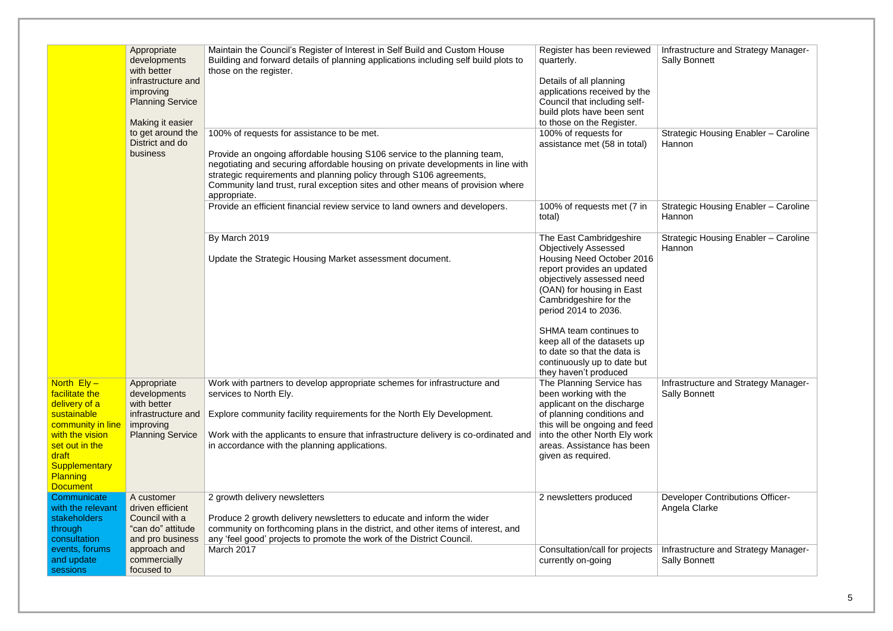|                                                                                                                                                                                                  | Appropriate<br>developments<br>with better<br>infrastructure and<br>improving<br><b>Planning Service</b><br>Making it easier | Maintain the Council's Register of Interest in Self Build and Custom House<br>Building and forward details of planning applications including self build plots to<br>those on the register.                                                                                                                                                                                                                                                                         | Register has been reviewed<br>quarterly.<br>Details of all planning<br>applications received by the<br>Council that including self-<br>build plots have been sent<br>to those on the Register.                                                                                                                                                                                | Infrastructure and Strategy Mana<br><b>Sally Bonnett</b>                               |
|--------------------------------------------------------------------------------------------------------------------------------------------------------------------------------------------------|------------------------------------------------------------------------------------------------------------------------------|---------------------------------------------------------------------------------------------------------------------------------------------------------------------------------------------------------------------------------------------------------------------------------------------------------------------------------------------------------------------------------------------------------------------------------------------------------------------|-------------------------------------------------------------------------------------------------------------------------------------------------------------------------------------------------------------------------------------------------------------------------------------------------------------------------------------------------------------------------------|----------------------------------------------------------------------------------------|
|                                                                                                                                                                                                  | to get around the<br>District and do<br>business                                                                             | 100% of requests for assistance to be met.<br>Provide an ongoing affordable housing S106 service to the planning team,<br>negotiating and securing affordable housing on private developments in line with<br>strategic requirements and planning policy through S106 agreements,<br>Community land trust, rural exception sites and other means of provision where<br>appropriate.<br>Provide an efficient financial review service to land owners and developers. | 100% of requests for<br>assistance met (58 in total)<br>100% of requests met (7 in<br>total)                                                                                                                                                                                                                                                                                  | Strategic Housing Enabler - Car<br>Hannon<br>Strategic Housing Enabler - Car<br>Hannon |
|                                                                                                                                                                                                  |                                                                                                                              | By March 2019<br>Update the Strategic Housing Market assessment document.                                                                                                                                                                                                                                                                                                                                                                                           | The East Cambridgeshire<br><b>Objectively Assessed</b><br>Housing Need October 2016<br>report provides an updated<br>objectively assessed need<br>(OAN) for housing in East<br>Cambridgeshire for the<br>period 2014 to 2036.<br>SHMA team continues to<br>keep all of the datasets up<br>to date so that the data is<br>continuously up to date but<br>they haven't produced | Strategic Housing Enabler - Car<br>Hannon                                              |
| North $Ely -$<br>facilitate the<br>delivery of a<br>sustainable<br>community in line<br>with the vision<br>set out in the<br>draft<br><b>Supplementary</b><br><b>Planning</b><br><b>Document</b> | Appropriate<br>developments<br>with better<br>infrastructure and<br>improving<br><b>Planning Service</b>                     | Work with partners to develop appropriate schemes for infrastructure and<br>services to North Ely.<br>Explore community facility requirements for the North Ely Development.<br>Work with the applicants to ensure that infrastructure delivery is co-ordinated and<br>in accordance with the planning applications.                                                                                                                                                | The Planning Service has<br>been working with the<br>applicant on the discharge<br>of planning conditions and<br>this will be ongoing and feed<br>into the other North Ely work<br>areas. Assistance has been<br>given as required.                                                                                                                                           | Infrastructure and Strategy Mana<br><b>Sally Bonnett</b>                               |
| Communicate<br>with the relevant<br>stakeholders<br>through<br>consultation                                                                                                                      | A customer<br>driven efficient<br>Council with a<br>"can do" attitude<br>and pro business                                    | 2 growth delivery newsletters<br>Produce 2 growth delivery newsletters to educate and inform the wider<br>community on forthcoming plans in the district, and other items of interest, and<br>any 'feel good' projects to promote the work of the District Council.                                                                                                                                                                                                 | 2 newsletters produced                                                                                                                                                                                                                                                                                                                                                        | <b>Developer Contributions Officer-</b><br>Angela Clarke                               |
| events, forums<br>and update<br>sessions                                                                                                                                                         | approach and<br>commercially<br>focused to                                                                                   | March 2017                                                                                                                                                                                                                                                                                                                                                                                                                                                          | Consultation/call for projects<br>currently on-going                                                                                                                                                                                                                                                                                                                          | Infrastructure and Strategy Mana<br><b>Sally Bonnett</b>                               |

| Infrastructure and Strategy Manager-<br><b>Sally Bonnett</b> |
|--------------------------------------------------------------|
|                                                              |
| <b>Strategic Housing Enabler - Caroline</b><br>Hannon        |
| <b>Strategic Housing Enabler - Caroline</b><br>Hannon        |
| <b>Strategic Housing Enabler - Caroline</b><br>Hannon        |
| Infrastructure and Strategy Manager-<br><b>Sally Bonnett</b> |
| <b>Developer Contributions Officer-</b><br>Angela Clarke     |
| Infrastructure and Strategy Manager-<br><b>Sally Bonnett</b> |